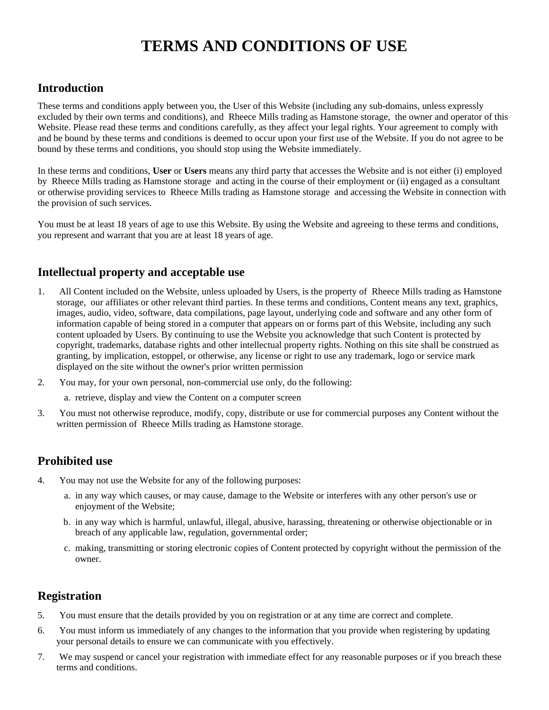# **TERMS AND CONDITIONS OF USE**

## **Introduction**

These terms and conditions apply between you, the User of this Website (including any sub-domains, unless expressly excluded by their own terms and conditions), and Rheece Mills trading as Hamstone storage, the owner and operator of this Website. Please read these terms and conditions carefully, as they affect your legal rights. Your agreement to comply with and be bound by these terms and conditions is deemed to occur upon your first use of the Website. If you do not agree to be bound by these terms and conditions, you should stop using the Website immediately.

In these terms and conditions, **User** or **Users** means any third party that accesses the Website and is not either (i) employed by Rheece Mills trading as Hamstone storage and acting in the course of their employment or (ii) engaged as a consultant or otherwise providing services to Rheece Mills trading as Hamstone storage and accessing the Website in connection with the provision of such services.

You must be at least 18 years of age to use this Website. By using the Website and agreeing to these terms and conditions, you represent and warrant that you are at least 18 years of age.

## **Intellectual property and acceptable use**

- 1. All Content included on the Website, unless uploaded by Users, is the property of Rheece Mills trading as Hamstone storage, our affiliates or other relevant third parties. In these terms and conditions, Content means any text, graphics, images, audio, video, software, data compilations, page layout, underlying code and software and any other form of information capable of being stored in a computer that appears on or forms part of this Website, including any such content uploaded by Users. By continuing to use the Website you acknowledge that such Content is protected by copyright, trademarks, database rights and other intellectual property rights. Nothing on this site shall be construed as granting, by implication, estoppel, or otherwise, any license or right to use any trademark, logo or service mark displayed on the site without the owner's prior written permission
- 2. You may, for your own personal, non-commercial use only, do the following:
	- a. retrieve, display and view the Content on a computer screen
- 3. You must not otherwise reproduce, modify, copy, distribute or use for commercial purposes any Content without the written permission of Rheece Mills trading as Hamstone storage.

### **Prohibited use**

- 4. You may not use the Website for any of the following purposes:
	- a. in any way which causes, or may cause, damage to the Website or interferes with any other person's use or enjoyment of the Website;
	- b. in any way which is harmful, unlawful, illegal, abusive, harassing, threatening or otherwise objectionable or in breach of any applicable law, regulation, governmental order;
	- c. making, transmitting or storing electronic copies of Content protected by copyright without the permission of the owner.

## **Registration**

- 5. You must ensure that the details provided by you on registration or at any time are correct and complete.
- 6. You must inform us immediately of any changes to the information that you provide when registering by updating your personal details to ensure we can communicate with you effectively.
- 7. We may suspend or cancel your registration with immediate effect for any reasonable purposes or if you breach these terms and conditions.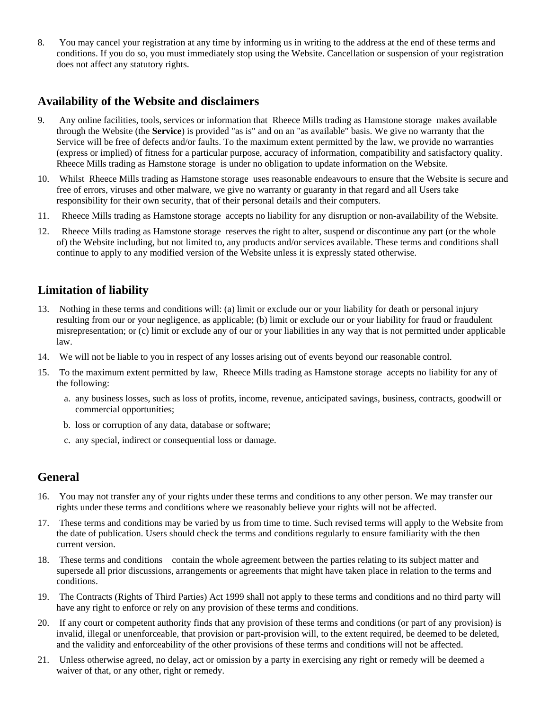8. You may cancel your registration at any time by informing us in writing to the address at the end of these terms and conditions. If you do so, you must immediately stop using the Website. Cancellation or suspension of your registration does not affect any statutory rights.

#### **Availability of the Website and disclaimers**

- 9. Any online facilities, tools, services or information that Rheece Mills trading as Hamstone storage makes available through the Website (the **Service**) is provided "as is" and on an "as available" basis. We give no warranty that the Service will be free of defects and/or faults. To the maximum extent permitted by the law, we provide no warranties (express or implied) of fitness for a particular purpose, accuracy of information, compatibility and satisfactory quality. Rheece Mills trading as Hamstone storage is under no obligation to update information on the Website.
- 10. Whilst Rheece Mills trading as Hamstone storage uses reasonable endeavours to ensure that the Website is secure and free of errors, viruses and other malware, we give no warranty or guaranty in that regard and all Users take responsibility for their own security, that of their personal details and their computers.
- 11. Rheece Mills trading as Hamstone storage accepts no liability for any disruption or non-availability of the Website.
- 12. Rheece Mills trading as Hamstone storage reserves the right to alter, suspend or discontinue any part (or the whole of) the Website including, but not limited to, any products and/or services available. These terms and conditions shall continue to apply to any modified version of the Website unless it is expressly stated otherwise.

### **Limitation of liability**

- 13. Nothing in these terms and conditions will: (a) limit or exclude our or your liability for death or personal injury resulting from our or your negligence, as applicable; (b) limit or exclude our or your liability for fraud or fraudulent misrepresentation; or (c) limit or exclude any of our or your liabilities in any way that is not permitted under applicable law.
- 14. We will not be liable to you in respect of any losses arising out of events beyond our reasonable control.
- 15. To the maximum extent permitted by law, Rheece Mills trading as Hamstone storage accepts no liability for any of the following:
	- a. any business losses, such as loss of profits, income, revenue, anticipated savings, business, contracts, goodwill or commercial opportunities;
	- b. loss or corruption of any data, database or software;
	- c. any special, indirect or consequential loss or damage.

#### **General**

- 16. You may not transfer any of your rights under these terms and conditions to any other person. We may transfer our rights under these terms and conditions where we reasonably believe your rights will not be affected.
- 17. These terms and conditions may be varied by us from time to time. Such revised terms will apply to the Website from the date of publication. Users should check the terms and conditions regularly to ensure familiarity with the then current version.
- 18. These terms and conditions contain the whole agreement between the parties relating to its subject matter and supersede all prior discussions, arrangements or agreements that might have taken place in relation to the terms and conditions.
- 19. The Contracts (Rights of Third Parties) Act 1999 shall not apply to these terms and conditions and no third party will have any right to enforce or rely on any provision of these terms and conditions.
- 20. If any court or competent authority finds that any provision of these terms and conditions (or part of any provision) is invalid, illegal or unenforceable, that provision or part-provision will, to the extent required, be deemed to be deleted, and the validity and enforceability of the other provisions of these terms and conditions will not be affected.
- 21. Unless otherwise agreed, no delay, act or omission by a party in exercising any right or remedy will be deemed a waiver of that, or any other, right or remedy.